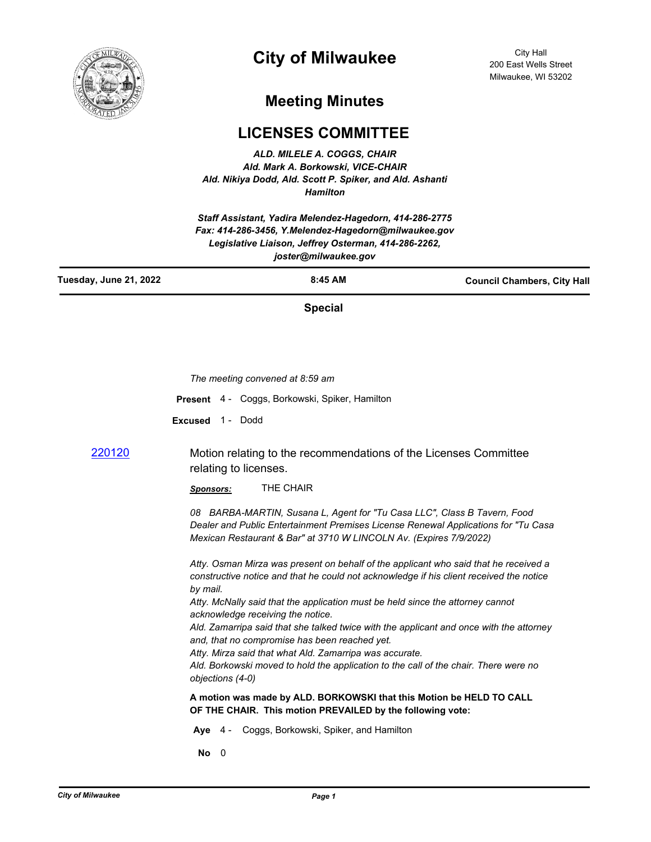

## **City of Milwaukee**

City Hall 200 East Wells Street Milwaukee, WI 53202

## **Meeting Minutes**

## **LICENSES COMMITTEE**

*ALD. MILELE A. COGGS, CHAIR Ald. Mark A. Borkowski, VICE-CHAIR Ald. Nikiya Dodd, Ald. Scott P. Spiker, and Ald. Ashanti Hamilton*

*Staff Assistant, Yadira Melendez-Hagedorn, 414-286-2775 Fax: 414-286-3456, Y.Melendez-Hagedorn@milwaukee.gov Legislative Liaison, Jeffrey Osterman, 414-286-2262, joster@milwaukee.gov*

| Tuesday, June 21, 2022 | $8:45$ AM | <b>Council Chambers, City Hall</b> |
|------------------------|-----------|------------------------------------|
|                        |           |                                    |

**Special**

|        | The meeting convened at 8:59 am                                                                                                                                                                                                      |
|--------|--------------------------------------------------------------------------------------------------------------------------------------------------------------------------------------------------------------------------------------|
|        | Present 4 - Coggs, Borkowski, Spiker, Hamilton                                                                                                                                                                                       |
|        | Excused 1 - Dodd                                                                                                                                                                                                                     |
| 220120 | Motion relating to the recommendations of the Licenses Committee<br>relating to licenses.                                                                                                                                            |
|        | THE CHAIR<br><b>Sponsors:</b>                                                                                                                                                                                                        |
|        | 08 BARBA-MARTIN, Susana L, Agent for "Tu Casa LLC", Class B Tavern, Food<br>Dealer and Public Entertainment Premises License Renewal Applications for "Tu Casa<br>Mexican Restaurant & Bar" at 3710 W LINCOLN Av. (Expires 7/9/2022) |
|        | Atty. Osman Mirza was present on behalf of the applicant who said that he received a<br>constructive notice and that he could not acknowledge if his client received the notice<br>by mail.                                          |
|        | Atty. McNally said that the application must be held since the attorney cannot<br>acknowledge receiving the notice.                                                                                                                  |
|        | Ald. Zamarripa said that she talked twice with the applicant and once with the attorney<br>and, that no compromise has been reached yet.                                                                                             |
|        | Atty. Mirza said that what Ald. Zamarripa was accurate.<br>Ald. Borkowski moved to hold the application to the call of the chair. There were no<br>objections (4-0)                                                                  |
|        | A motion was made by ALD. BORKOWSKI that this Motion be HELD TO CALL<br>OF THE CHAIR. This motion PREVAILED by the following vote:                                                                                                   |
|        | Aye 4 - Coggs, Borkowski, Spiker, and Hamilton                                                                                                                                                                                       |
|        | No<br>- 0                                                                                                                                                                                                                            |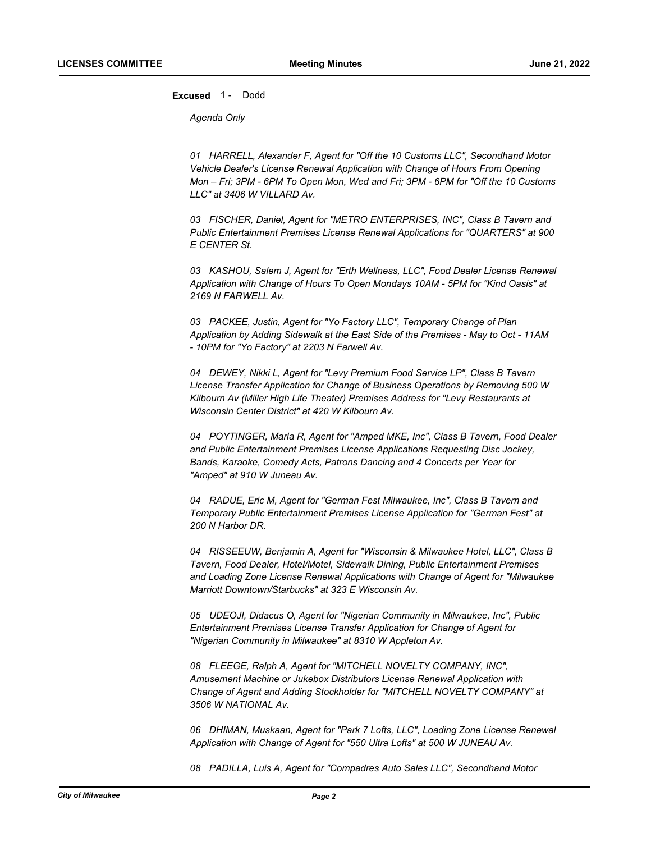**Excused** 1 - Dodd

*Agenda Only*

*01 HARRELL, Alexander F, Agent for "Off the 10 Customs LLC", Secondhand Motor Vehicle Dealer's License Renewal Application with Change of Hours From Opening Mon – Fri; 3PM - 6PM To Open Mon, Wed and Fri; 3PM - 6PM for "Off the 10 Customs LLC" at 3406 W VILLARD Av.* 

*03 FISCHER, Daniel, Agent for "METRO ENTERPRISES, INC", Class B Tavern and Public Entertainment Premises License Renewal Applications for "QUARTERS" at 900 E CENTER St.* 

*03 KASHOU, Salem J, Agent for "Erth Wellness, LLC", Food Dealer License Renewal Application with Change of Hours To Open Mondays 10AM - 5PM for "Kind Oasis" at 2169 N FARWELL Av.* 

*03 PACKEE, Justin, Agent for "Yo Factory LLC", Temporary Change of Plan Application by Adding Sidewalk at the East Side of the Premises - May to Oct - 11AM - 10PM for "Yo Factory" at 2203 N Farwell Av.*

*04 DEWEY, Nikki L, Agent for "Levy Premium Food Service LP", Class B Tavern License Transfer Application for Change of Business Operations by Removing 500 W Kilbourn Av (Miller High Life Theater) Premises Address for "Levy Restaurants at Wisconsin Center District" at 420 W Kilbourn Av.*

*04 POYTINGER, Marla R, Agent for "Amped MKE, Inc", Class B Tavern, Food Dealer and Public Entertainment Premises License Applications Requesting Disc Jockey, Bands, Karaoke, Comedy Acts, Patrons Dancing and 4 Concerts per Year for "Amped" at 910 W Juneau Av.*

*04 RADUE, Eric M, Agent for "German Fest Milwaukee, Inc", Class B Tavern and Temporary Public Entertainment Premises License Application for "German Fest" at 200 N Harbor DR.*

*04 RISSEEUW, Benjamin A, Agent for "Wisconsin & Milwaukee Hotel, LLC", Class B Tavern, Food Dealer, Hotel/Motel, Sidewalk Dining, Public Entertainment Premises and Loading Zone License Renewal Applications with Change of Agent for "Milwaukee Marriott Downtown/Starbucks" at 323 E Wisconsin Av.*

*05 UDEOJI, Didacus O, Agent for "Nigerian Community in Milwaukee, Inc", Public Entertainment Premises License Transfer Application for Change of Agent for "Nigerian Community in Milwaukee" at 8310 W Appleton Av.*

*08 FLEEGE, Ralph A, Agent for "MITCHELL NOVELTY COMPANY, INC", Amusement Machine or Jukebox Distributors License Renewal Application with Change of Agent and Adding Stockholder for "MITCHELL NOVELTY COMPANY" at 3506 W NATIONAL Av.* 

*06 DHIMAN, Muskaan, Agent for "Park 7 Lofts, LLC", Loading Zone License Renewal Application with Change of Agent for "550 Ultra Lofts" at 500 W JUNEAU Av.* 

*08 PADILLA, Luis A, Agent for "Compadres Auto Sales LLC", Secondhand Motor*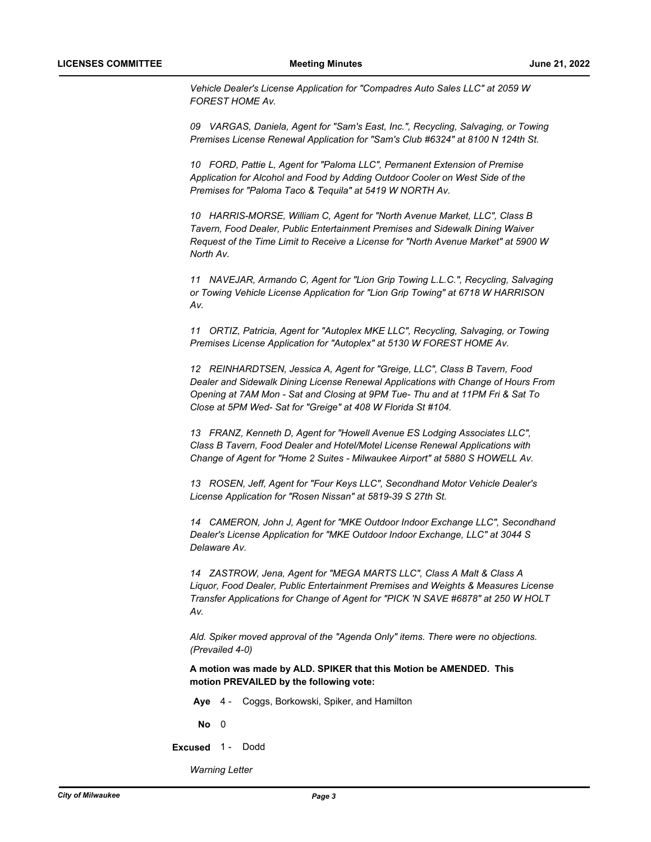*Vehicle Dealer's License Application for "Compadres Auto Sales LLC" at 2059 W FOREST HOME Av.*

*09 VARGAS, Daniela, Agent for "Sam's East, Inc.", Recycling, Salvaging, or Towing Premises License Renewal Application for "Sam's Club #6324" at 8100 N 124th St.* 

*10 FORD, Pattie L, Agent for "Paloma LLC", Permanent Extension of Premise Application for Alcohol and Food by Adding Outdoor Cooler on West Side of the Premises for "Paloma Taco & Tequila" at 5419 W NORTH Av.*

*10 HARRIS-MORSE, William C, Agent for "North Avenue Market, LLC", Class B Tavern, Food Dealer, Public Entertainment Premises and Sidewalk Dining Waiver Request of the Time Limit to Receive a License for "North Avenue Market" at 5900 W North Av.*

*11 NAVEJAR, Armando C, Agent for "Lion Grip Towing L.L.C.", Recycling, Salvaging or Towing Vehicle License Application for "Lion Grip Towing" at 6718 W HARRISON Av.*

*11 ORTIZ, Patricia, Agent for "Autoplex MKE LLC", Recycling, Salvaging, or Towing Premises License Application for "Autoplex" at 5130 W FOREST HOME Av.*

*12 REINHARDTSEN, Jessica A, Agent for "Greige, LLC", Class B Tavern, Food Dealer and Sidewalk Dining License Renewal Applications with Change of Hours From Opening at 7AM Mon - Sat and Closing at 9PM Tue- Thu and at 11PM Fri & Sat To Close at 5PM Wed- Sat for "Greige" at 408 W Florida St #104.* 

*13 FRANZ, Kenneth D, Agent for "Howell Avenue ES Lodging Associates LLC", Class B Tavern, Food Dealer and Hotel/Motel License Renewal Applications with Change of Agent for "Home 2 Suites - Milwaukee Airport" at 5880 S HOWELL Av.* 

*13 ROSEN, Jeff, Agent for "Four Keys LLC", Secondhand Motor Vehicle Dealer's License Application for "Rosen Nissan" at 5819-39 S 27th St.*

*14 CAMERON, John J, Agent for "MKE Outdoor Indoor Exchange LLC", Secondhand Dealer's License Application for "MKE Outdoor Indoor Exchange, LLC" at 3044 S Delaware Av.*

*14 ZASTROW, Jena, Agent for "MEGA MARTS LLC", Class A Malt & Class A Liquor, Food Dealer, Public Entertainment Premises and Weights & Measures License Transfer Applications for Change of Agent for "PICK 'N SAVE #6878" at 250 W HOLT Av.*

*Ald. Spiker moved approval of the "Agenda Only" items. There were no objections. (Prevailed 4-0)*

**A motion was made by ALD. SPIKER that this Motion be AMENDED. This motion PREVAILED by the following vote:**

**Aye** 4 - Coggs, Borkowski, Spiker, and Hamilton

**No** 0

**Excused** 1 - Dodd

*Warning Letter*